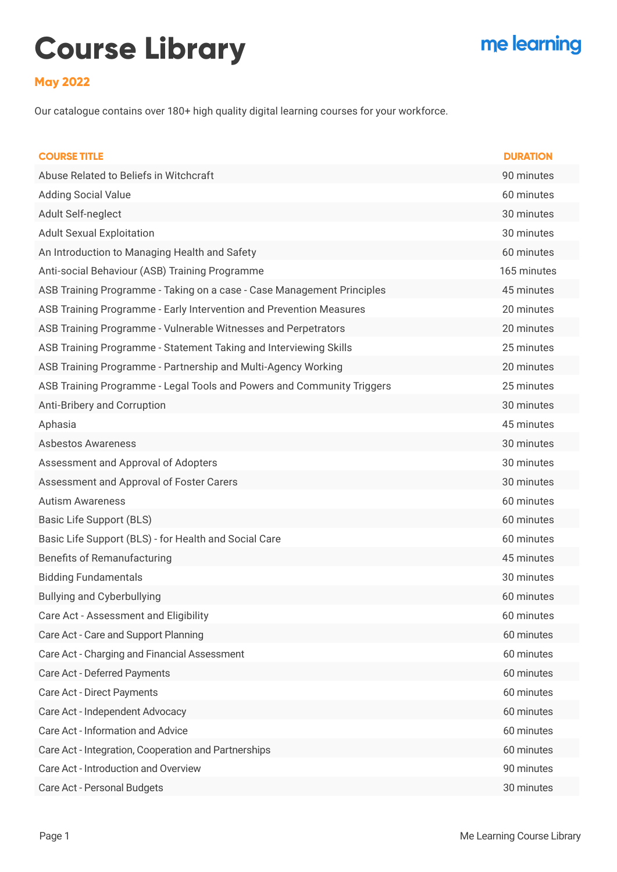## **Course Library**

## me learning

## **May 2022**

Our catalogue contains over 180+ high quality digital learning courses for your workforce.

| <b>COURSE TITLE</b>                                                    | <b>DURATION</b> |
|------------------------------------------------------------------------|-----------------|
| Abuse Related to Beliefs in Witchcraft                                 | 90 minutes      |
| <b>Adding Social Value</b>                                             | 60 minutes      |
| Adult Self-neglect                                                     | 30 minutes      |
| <b>Adult Sexual Exploitation</b>                                       | 30 minutes      |
| An Introduction to Managing Health and Safety                          | 60 minutes      |
| Anti-social Behaviour (ASB) Training Programme                         | 165 minutes     |
| ASB Training Programme - Taking on a case - Case Management Principles | 45 minutes      |
| ASB Training Programme - Early Intervention and Prevention Measures    | 20 minutes      |
| ASB Training Programme - Vulnerable Witnesses and Perpetrators         | 20 minutes      |
| ASB Training Programme - Statement Taking and Interviewing Skills      | 25 minutes      |
| ASB Training Programme - Partnership and Multi-Agency Working          | 20 minutes      |
| ASB Training Programme - Legal Tools and Powers and Community Triggers | 25 minutes      |
| Anti-Bribery and Corruption                                            | 30 minutes      |
| Aphasia                                                                | 45 minutes      |
| <b>Asbestos Awareness</b>                                              | 30 minutes      |
| Assessment and Approval of Adopters                                    | 30 minutes      |
| Assessment and Approval of Foster Carers                               | 30 minutes      |
| <b>Autism Awareness</b>                                                | 60 minutes      |
| Basic Life Support (BLS)                                               | 60 minutes      |
| Basic Life Support (BLS) - for Health and Social Care                  | 60 minutes      |
| <b>Benefits of Remanufacturing</b>                                     | 45 minutes      |
| <b>Bidding Fundamentals</b>                                            | 30 minutes      |
| <b>Bullying and Cyberbullying</b>                                      | 60 minutes      |
| Care Act - Assessment and Eligibility                                  | 60 minutes      |
| Care Act - Care and Support Planning                                   | 60 minutes      |
| Care Act - Charging and Financial Assessment                           | 60 minutes      |
| Care Act - Deferred Payments                                           | 60 minutes      |
| Care Act - Direct Payments                                             | 60 minutes      |
| Care Act - Independent Advocacy                                        | 60 minutes      |
| Care Act - Information and Advice                                      | 60 minutes      |
| Care Act - Integration, Cooperation and Partnerships                   | 60 minutes      |
| Care Act - Introduction and Overview                                   | 90 minutes      |
| Care Act - Personal Budgets                                            | 30 minutes      |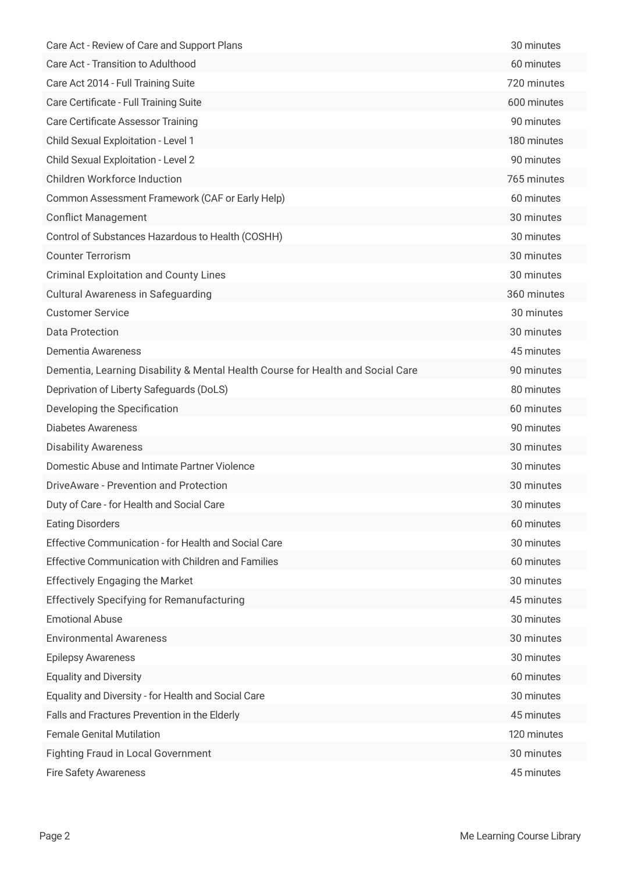| Care Act - Review of Care and Support Plans                                     | 30 minutes  |
|---------------------------------------------------------------------------------|-------------|
| Care Act - Transition to Adulthood                                              | 60 minutes  |
| Care Act 2014 - Full Training Suite                                             | 720 minutes |
| Care Certificate - Full Training Suite                                          | 600 minutes |
| <b>Care Certificate Assessor Training</b>                                       | 90 minutes  |
| Child Sexual Exploitation - Level 1                                             | 180 minutes |
| Child Sexual Exploitation - Level 2                                             | 90 minutes  |
| <b>Children Workforce Induction</b>                                             | 765 minutes |
| Common Assessment Framework (CAF or Early Help)                                 | 60 minutes  |
| <b>Conflict Management</b>                                                      | 30 minutes  |
| Control of Substances Hazardous to Health (COSHH)                               | 30 minutes  |
| <b>Counter Terrorism</b>                                                        | 30 minutes  |
| <b>Criminal Exploitation and County Lines</b>                                   | 30 minutes  |
| <b>Cultural Awareness in Safeguarding</b>                                       | 360 minutes |
| <b>Customer Service</b>                                                         | 30 minutes  |
| <b>Data Protection</b>                                                          | 30 minutes  |
| Dementia Awareness                                                              | 45 minutes  |
| Dementia, Learning Disability & Mental Health Course for Health and Social Care | 90 minutes  |
| Deprivation of Liberty Safeguards (DoLS)                                        | 80 minutes  |
| Developing the Specification                                                    | 60 minutes  |
| <b>Diabetes Awareness</b>                                                       | 90 minutes  |
| <b>Disability Awareness</b>                                                     | 30 minutes  |
| Domestic Abuse and Intimate Partner Violence                                    | 30 minutes  |
| DriveAware - Prevention and Protection                                          | 30 minutes  |
| Duty of Care - for Health and Social Care                                       | 30 minutes  |
| <b>Eating Disorders</b>                                                         | 60 minutes  |
| <b>Effective Communication - for Health and Social Care</b>                     | 30 minutes  |
| <b>Effective Communication with Children and Families</b>                       | 60 minutes  |
| <b>Effectively Engaging the Market</b>                                          | 30 minutes  |
| <b>Effectively Specifying for Remanufacturing</b>                               | 45 minutes  |
| <b>Emotional Abuse</b>                                                          | 30 minutes  |
| <b>Environmental Awareness</b>                                                  | 30 minutes  |
| <b>Epilepsy Awareness</b>                                                       | 30 minutes  |
| <b>Equality and Diversity</b>                                                   | 60 minutes  |
| Equality and Diversity - for Health and Social Care                             | 30 minutes  |
| Falls and Fractures Prevention in the Elderly                                   | 45 minutes  |
| <b>Female Genital Mutilation</b>                                                | 120 minutes |
| <b>Fighting Fraud in Local Government</b>                                       | 30 minutes  |
| <b>Fire Safety Awareness</b>                                                    | 45 minutes  |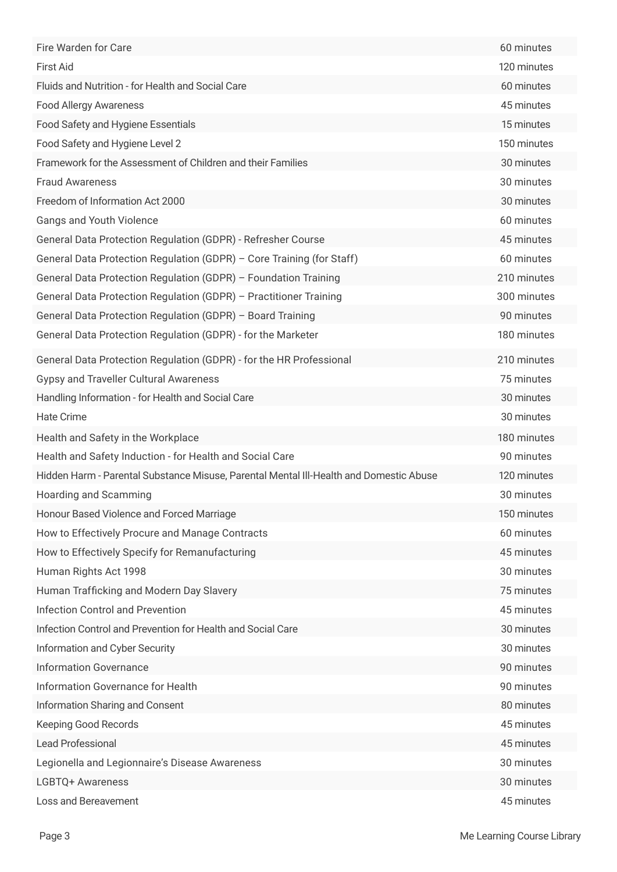| Fire Warden for Care                                                                   | 60 minutes  |
|----------------------------------------------------------------------------------------|-------------|
| <b>First Aid</b>                                                                       | 120 minutes |
| Fluids and Nutrition - for Health and Social Care                                      | 60 minutes  |
| <b>Food Allergy Awareness</b>                                                          | 45 minutes  |
| Food Safety and Hygiene Essentials                                                     | 15 minutes  |
| Food Safety and Hygiene Level 2                                                        | 150 minutes |
| Framework for the Assessment of Children and their Families                            | 30 minutes  |
| <b>Fraud Awareness</b>                                                                 | 30 minutes  |
| Freedom of Information Act 2000                                                        | 30 minutes  |
| <b>Gangs and Youth Violence</b>                                                        | 60 minutes  |
| General Data Protection Regulation (GDPR) - Refresher Course                           | 45 minutes  |
| General Data Protection Regulation (GDPR) - Core Training (for Staff)                  | 60 minutes  |
| General Data Protection Regulation (GDPR) - Foundation Training                        | 210 minutes |
| General Data Protection Regulation (GDPR) - Practitioner Training                      | 300 minutes |
| General Data Protection Regulation (GDPR) - Board Training                             | 90 minutes  |
| General Data Protection Regulation (GDPR) - for the Marketer                           | 180 minutes |
| General Data Protection Regulation (GDPR) - for the HR Professional                    | 210 minutes |
| <b>Gypsy and Traveller Cultural Awareness</b>                                          | 75 minutes  |
| Handling Information - for Health and Social Care                                      | 30 minutes  |
| <b>Hate Crime</b>                                                                      | 30 minutes  |
| Health and Safety in the Workplace                                                     | 180 minutes |
| Health and Safety Induction - for Health and Social Care                               | 90 minutes  |
| Hidden Harm - Parental Substance Misuse, Parental Mental III-Health and Domestic Abuse | 120 minutes |
| Hoarding and Scamming                                                                  | 30 minutes  |
| Honour Based Violence and Forced Marriage                                              | 150 minutes |
| How to Effectively Procure and Manage Contracts                                        | 60 minutes  |
| How to Effectively Specify for Remanufacturing                                         | 45 minutes  |
| Human Rights Act 1998                                                                  | 30 minutes  |
| Human Trafficking and Modern Day Slavery                                               | 75 minutes  |
| <b>Infection Control and Prevention</b>                                                | 45 minutes  |
| Infection Control and Prevention for Health and Social Care                            | 30 minutes  |
| Information and Cyber Security                                                         | 30 minutes  |
| <b>Information Governance</b>                                                          | 90 minutes  |
| Information Governance for Health                                                      | 90 minutes  |
| Information Sharing and Consent                                                        | 80 minutes  |
| Keeping Good Records                                                                   | 45 minutes  |
| Lead Professional                                                                      | 45 minutes  |
| Legionella and Legionnaire's Disease Awareness                                         | 30 minutes  |
| LGBTQ+ Awareness                                                                       | 30 minutes  |
| Loss and Bereavement                                                                   | 45 minutes  |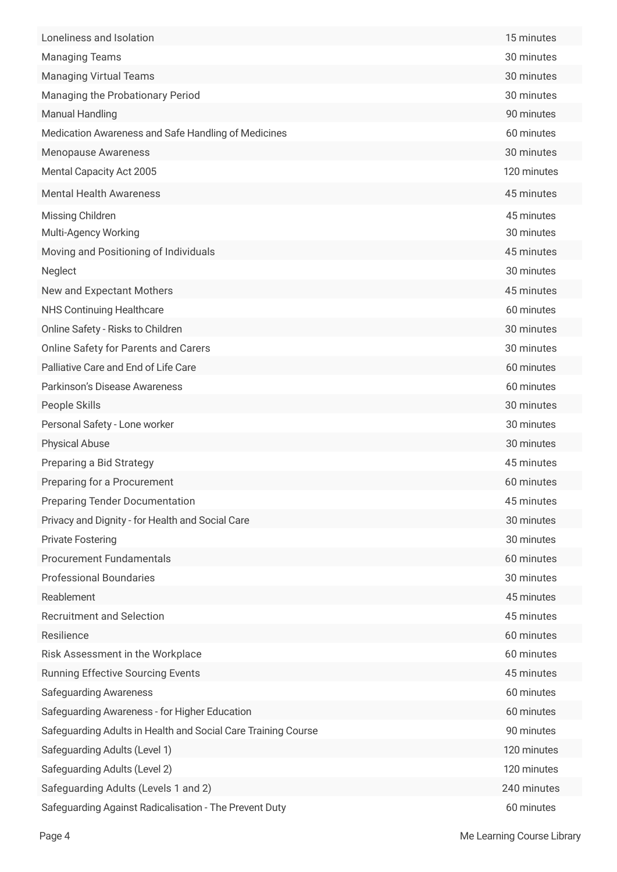| Loneliness and Isolation                                      | 15 minutes  |
|---------------------------------------------------------------|-------------|
| <b>Managing Teams</b>                                         | 30 minutes  |
| <b>Managing Virtual Teams</b>                                 | 30 minutes  |
| Managing the Probationary Period                              | 30 minutes  |
| <b>Manual Handling</b>                                        | 90 minutes  |
| Medication Awareness and Safe Handling of Medicines           | 60 minutes  |
| <b>Menopause Awareness</b>                                    | 30 minutes  |
| Mental Capacity Act 2005                                      | 120 minutes |
| <b>Mental Health Awareness</b>                                | 45 minutes  |
| Missing Children                                              | 45 minutes  |
| Multi-Agency Working                                          | 30 minutes  |
| Moving and Positioning of Individuals                         | 45 minutes  |
| Neglect                                                       | 30 minutes  |
| New and Expectant Mothers                                     | 45 minutes  |
| <b>NHS Continuing Healthcare</b>                              | 60 minutes  |
| Online Safety - Risks to Children                             | 30 minutes  |
| <b>Online Safety for Parents and Carers</b>                   | 30 minutes  |
| Palliative Care and End of Life Care                          | 60 minutes  |
| Parkinson's Disease Awareness                                 | 60 minutes  |
| People Skills                                                 | 30 minutes  |
| Personal Safety - Lone worker                                 | 30 minutes  |
| <b>Physical Abuse</b>                                         | 30 minutes  |
| Preparing a Bid Strategy                                      | 45 minutes  |
| Preparing for a Procurement                                   | 60 minutes  |
| <b>Preparing Tender Documentation</b>                         | 45 minutes  |
| Privacy and Dignity - for Health and Social Care              | 30 minutes  |
| <b>Private Fostering</b>                                      | 30 minutes  |
| <b>Procurement Fundamentals</b>                               | 60 minutes  |
| <b>Professional Boundaries</b>                                | 30 minutes  |
| Reablement                                                    | 45 minutes  |
| <b>Recruitment and Selection</b>                              | 45 minutes  |
| Resilience                                                    | 60 minutes  |
| Risk Assessment in the Workplace                              | 60 minutes  |
| <b>Running Effective Sourcing Events</b>                      | 45 minutes  |
| <b>Safeguarding Awareness</b>                                 | 60 minutes  |
| Safeguarding Awareness - for Higher Education                 | 60 minutes  |
| Safeguarding Adults in Health and Social Care Training Course | 90 minutes  |
| Safeguarding Adults (Level 1)                                 | 120 minutes |
| Safeguarding Adults (Level 2)                                 | 120 minutes |
| Safeguarding Adults (Levels 1 and 2)                          | 240 minutes |
| Safeguarding Against Radicalisation - The Prevent Duty        | 60 minutes  |